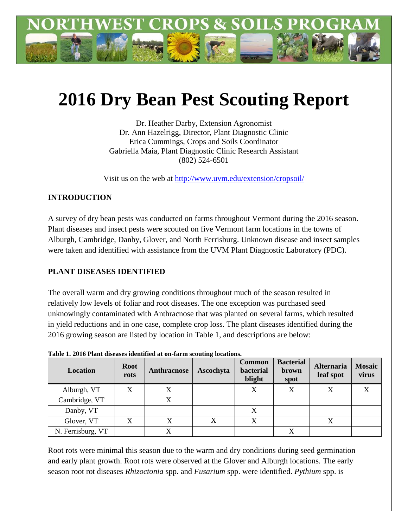

# **2016 Dry Bean Pest Scouting Report**

Dr. Heather Darby, Extension Agronomist Dr. Ann Hazelrigg, Director, Plant Diagnostic Clinic Erica Cummings, Crops and Soils Coordinator Gabriella Maia, Plant Diagnostic Clinic Research Assistant (802) 524-6501

Visit us on the web at<http://www.uvm.edu/extension/cropsoil/>

# **INTRODUCTION**

A survey of dry bean pests was conducted on farms throughout Vermont during the 2016 season. Plant diseases and insect pests were scouted on five Vermont farm locations in the towns of Alburgh, Cambridge, Danby, Glover, and North Ferrisburg. Unknown disease and insect samples were taken and identified with assistance from the UVM Plant Diagnostic Laboratory (PDC).

## **PLANT DISEASES IDENTIFIED**

The overall warm and dry growing conditions throughout much of the season resulted in relatively low levels of foliar and root diseases. The one exception was purchased seed unknowingly contaminated with Anthracnose that was planted on several farms, which resulted in yield reductions and in one case, complete crop loss. The plant diseases identified during the 2016 growing season are listed by location in Table 1, and descriptions are below:

| <b>Location</b>   | <b>Root</b><br>rots | Anthracnose | Ascochyta | <b>Common</b><br>bacterial<br>blight | <b>Bacterial</b><br>brown<br>spot | <b>Alternaria</b><br>leaf spot | <b>Mosaic</b><br>virus |
|-------------------|---------------------|-------------|-----------|--------------------------------------|-----------------------------------|--------------------------------|------------------------|
| Alburgh, VT       | X                   |             |           | X                                    | Х                                 |                                |                        |
| Cambridge, VT     |                     | X           |           |                                      |                                   |                                |                        |
| Danby, VT         |                     |             |           | X                                    |                                   |                                |                        |
| Glover, VT        | X                   | Х           | X         | X                                    |                                   |                                |                        |
| N. Ferrisburg, VT |                     |             |           |                                      | $\overline{\mathbf{v}}$           |                                |                        |

**Table 1. 2016 Plant diseases identified at on-farm scouting locations.**

Root rots were minimal this season due to the warm and dry conditions during seed germination and early plant growth. Root rots were observed at the Glover and Alburgh locations. The early season root rot diseases *Rhizoctonia* spp. and *Fusarium* spp. were identified. *Pythium* spp. is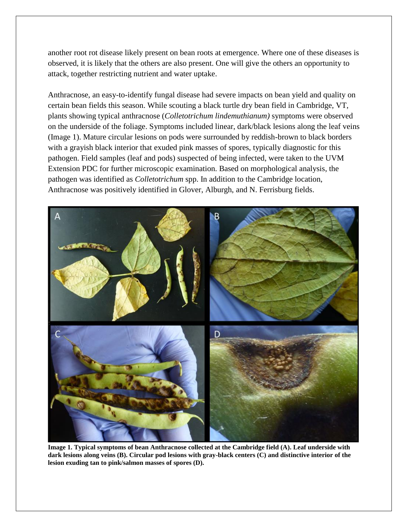another root rot disease likely present on bean roots at emergence. Where one of these diseases is observed, it is likely that the others are also present. One will give the others an opportunity to attack, together restricting nutrient and water uptake.

Anthracnose, an easy-to-identify fungal disease had severe impacts on bean yield and quality on certain bean fields this season. While scouting a black turtle dry bean field in Cambridge, VT, plants showing typical anthracnose (*Colletotrichum lindemuthianum)* symptoms were observed on the underside of the foliage. Symptoms included linear, dark/black lesions along the leaf veins (Image 1). Mature circular lesions on pods were surrounded by reddish-brown to black borders with a grayish black interior that exuded pink masses of spores, typically diagnostic for this pathogen. Field samples (leaf and pods) suspected of being infected, were taken to the UVM Extension PDC for further microscopic examination. Based on morphological analysis, the pathogen was identified as *Colletotrichum* spp. In addition to the Cambridge location, Anthracnose was positively identified in Glover, Alburgh, and N. Ferrisburg fields.



**Image 1. Typical symptoms of bean Anthracnose collected at the Cambridge field (A). Leaf underside with dark lesions along veins (B). Circular pod lesions with gray-black centers (C) and distinctive interior of the lesion exuding tan to pink/salmon masses of spores (D).**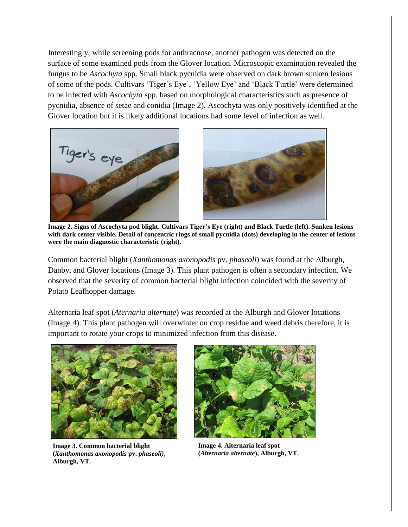Interestingly, while screening pods for anthracnose, another pathogen was detected on the surface of some examined pods from the Glover location. Microscopic examination revealed the fungus to be *Ascochyta* spp. Small black pycnidia were observed on dark brown sunken lesions of some of the pods. Cultivars 'Tiger's Eye', 'Yellow Eye' and 'Black Turtle' were determined to be infected with *Ascochyta* spp. based on morphological characteristics such as presence of pycnidia, absence of setae and conidia (Image 2). Ascochyta was only positively identified at the Glover location but it is likely additional locations had some level of infection as well.





**Image 2. Signs of Ascochyta pod blight. Cultivars Tiger's Eye (right) and Black Turtle (left). Sunken lesions with dark center visible. Detail of concentric rings of small pycnidia (dots) developing in the center of lesions were the main diagnostic characteristic (right)**.

Common bacterial blight (*Xanthomonas axonopodis* pv. *phaseoli*) was found at the Alburgh, Danby, and Glover locations (Image 3). This plant pathogen is often a secondary infection. We observed that the severity of common bacterial blight infection coincided with the severity of Potato Leafhopper damage.

Alternaria leaf spot (*Aternaria alternate*) was recorded at the Alburgh and Glover locations (Image 4). This plant pathogen will overwinter on crop residue and weed debris therefore, it is important to rotate your crops to minimized infection from this disease.



**Image 3. Common bacterial blight (***Xanthomonas axonopodis* **pv.** *phaseoli)***, Alburgh, VT.**



**Image 4. Alternaria leaf spot (***Alternaria alternate***), Alburgh, VT.**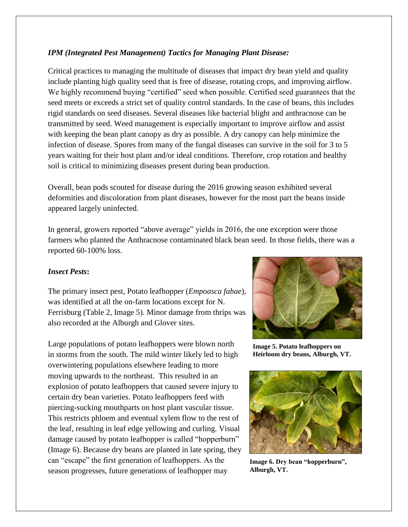## *IPM (Integrated Pest Management) Tactics for Managing Plant Disease:*

Critical practices to managing the multitude of diseases that impact dry bean yield and quality include planting high quality seed that is free of disease, rotating crops, and improving airflow. We highly recommend buying "certified" seed when possible. Certified seed guarantees that the seed meets or exceeds a strict set of quality control standards. In the case of beans, this includes rigid standards on seed diseases. Several diseases like bacterial blight and anthracnose can be transmitted by seed. Weed management is especially important to improve airflow and assist with keeping the bean plant canopy as dry as possible. A dry canopy can help minimize the infection of disease. Spores from many of the fungal diseases can survive in the soil for 3 to 5 years waiting for their host plant and/or ideal conditions. Therefore, crop rotation and healthy soil is critical to minimizing diseases present during bean production.

Overall, bean pods scouted for disease during the 2016 growing season exhibited several deformities and discoloration from plant diseases, however for the most part the beans inside appeared largely uninfected.

In general, growers reported "above average" yields in 2016, the one exception were those farmers who planted the Anthracnose contaminated black bean seed. In those fields, there was a reported 60-100% loss.

### *Insect Pests***:**

The primary insect pest, Potato leafhopper (*Empoasca fabae*), was identified at all the on-farm locations except for N. Ferrisburg (Table 2, Image 5). Minor damage from thrips was also recorded at the Alburgh and Glover sites.

Large populations of potato leafhoppers were blown north in storms from the south. The mild winter likely led to high overwintering populations elsewhere leading to more moving upwards to the northeast. This resulted in an explosion of potato leafhoppers that caused severe injury to certain dry bean varieties. Potato leafhoppers feed with piercing-sucking mouthparts on host plant vascular tissue. This restricts phloem and eventual xylem flow to the rest of the leaf, resulting in leaf edge yellowing and curling. Visual damage caused by potato leafhopper is called "hopperburn" (Image 6). Because dry beans are planted in late spring, they can "escape" the first generation of leafhoppers. As the season progresses, future generations of leafhopper may



**Image 5. Potato leafhoppers on Heirloom dry beans, Alburgh, VT.**



**Image 6. Dry bean "hopperburn", Alburgh, VT.**